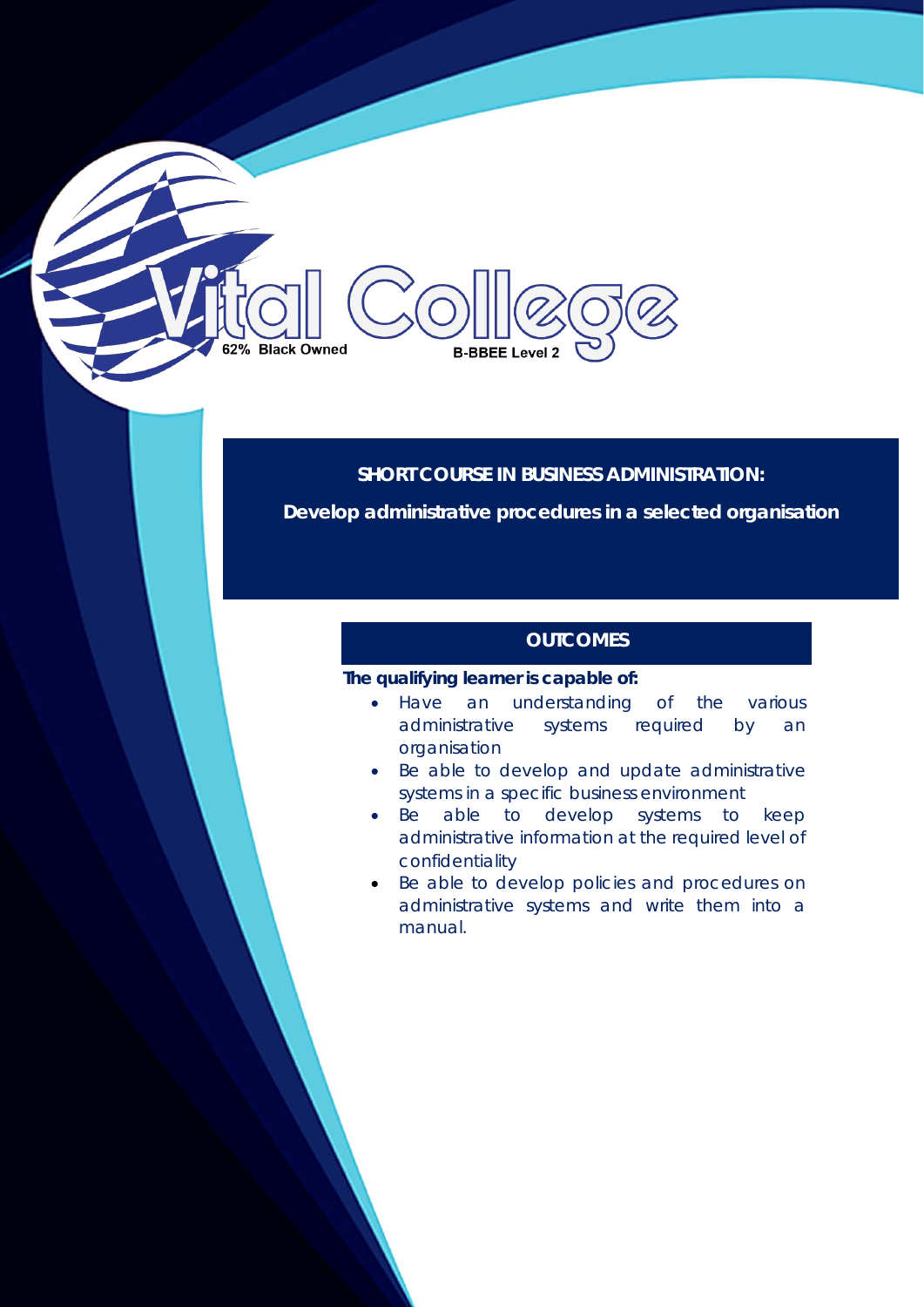# **Black Owned B-BBEE Level 2**

### **SHORT COURSE IN BUSINESS ADMINISTRATION:**

**Develop administrative procedures in a selected organisation** 

# **OUTCOMES**

#### **The qualifying learner is capable of:**

- Have an understanding of the various administrative systems required by an organisation
- Be able to develop and update administrative systems in a specific business environment
- Be able to develop systems to keep administrative information at the required level of confidentiality
- Be able to develop policies and procedures on administrative systems and write them into a manual.